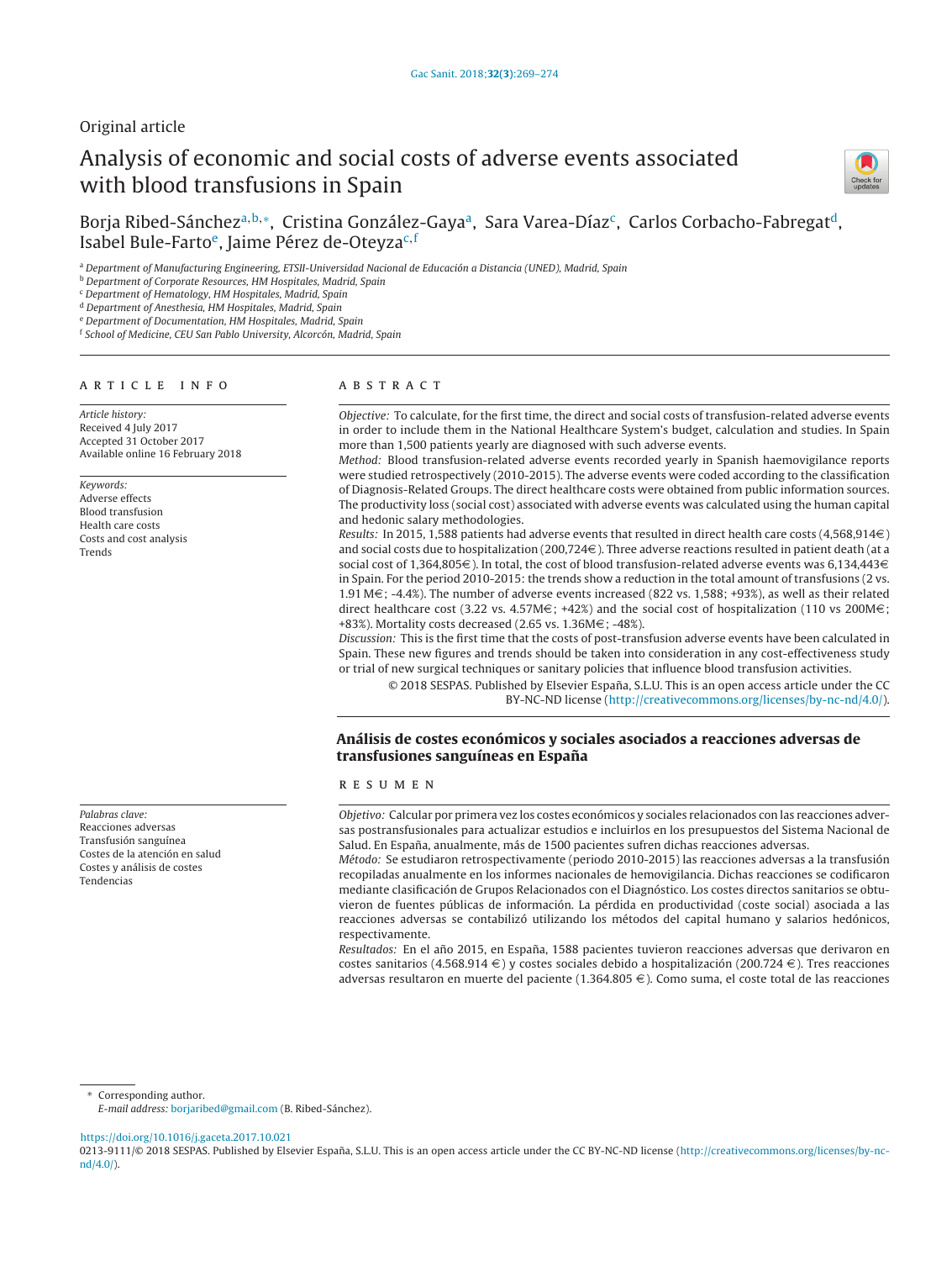# Original article

# Analysis of economic and social costs of adverse events associated with blood transfusions in Spain



Boria Ribed-Sánchez<sup>a,b,∗</sup>, Cristina González-Gaya<sup>a</sup>, Sara Varea-Díaz<sup>c</sup>, Carlos Corbacho-Fabregat<sup>d</sup>, Isabel Bule-Farto<sup>e</sup>, Jaime Pérez de-Oteyza<sup>c, f</sup>

<sup>a</sup> Department of Manufacturing Engineering, ETSII-Universidad Nacional de Educación a Distancia (UNED), Madrid, Spain

<sup>b</sup> Department of Corporate Resources, HM Hospitales, Madrid, Spain

<sup>c</sup> Department of Hematology, HM Hospitales, Madrid, Spain

<sup>d</sup> Department of Anesthesia, HM Hospitales, Madrid, Spain

<sup>e</sup> Department of Documentation, HM Hospitales, Madrid, Spain

<sup>f</sup> School of Medicine, CEU San Pablo University, Alcorcón, Madrid, Spain

#### A R T I C L E I N F O

Article history: Received 4 July 2017 Accepted 31 October 2017 Available online 16 February 2018

Keywords: Adverse effects Blood transfusion Health care costs Costs and cost analysis Trends

Palabras clave: Reacciones adversas Transfusión sanguínea Costes de la atención en salud Costes y análisis de costes Tendencias

## A B S T R A C T

Objective: To calculate, for the first time, the direct and social costs of transfusion-related adverse events in order to include them in the National Healthcare System's budget, calculation and studies. In Spain more than 1,500 patients yearly are diagnosed with such adverse events.

Method: Blood transfusion-related adverse events recorded yearly in Spanish haemovigilance reports were studied retrospectively (2010-2015). The adverse events were coded according to the classification of Diagnosis-Related Groups. The direct healthcare costs were obtained from public information sources. The productivity loss (social cost) associated with adverse events was calculated using the human capital and hedonic salary methodologies.

Results: In 2015, 1,588 patients had adverse events that resulted in direct health care costs (4,568,914 $\in$ ) and social costs due to hospitalization (200,724 $\in$ ). Three adverse reactions resulted in patient death (at a social cost of 1,364,805 $\in$ ). In total, the cost of blood transfusion-related adverse events was 6,134,443 $\in$ in Spain. For the period 2010-2015: the trends show a reduction in the total amount of transfusions (2 vs. 1.91 M $\epsilon$ ; -4.4%). The number of adverse events increased (822 vs. 1,588; +93%), as well as their related direct healthcare cost (3.22 vs. 4.57M $\in$ ; +42%) and the social cost of hospitalization (110 vs 200M $\in$ ; +83%). Mortality costs decreased (2.65 vs. 1.36M $\in$ ; -48%).

Discussion: This is the first time that the costs of post-transfusion adverse events have been calculated in Spain. These new figures and trends should be taken into consideration in any cost-effectiveness study or trial of new surgical techniques or sanitary policies that influence blood transfusion activities.

© 2018 SESPAS. Published by Elsevier España, S.L.U. This is an open access article under the CC BY-NC-ND license [\(http://creativecommons.org/licenses/by-nc-nd/4.0/](http://creativecommons.org/licenses/by-nc-nd/4.0/)).

# **Análisis de costes económicos y sociales asociados a reacciones adversas de transfusiones sanguíneas en Espana˜**

## r e s u m e n

Objetivo: Calcular por primera vez los costes económicos y sociales relacionados con las reacciones adversas postransfusionales para actualizar estudios e incluirlos en los presupuestos del Sistema Nacional de Salud. En España, anualmente, más de 1500 pacientes sufren dichas reacciones adversas.

Método: Se estudiaron retrospectivamente (periodo 2010-2015) las reacciones adversas a la transfusión recopiladas anualmente en los informes nacionales de hemovigilancia. Dichas reacciones se codificaron mediante clasificación de Grupos Relacionados con el Diagnóstico. Los costes directos sanitarios se obtuvieron de fuentes públicas de información. La pérdida en productividad (coste social) asociada a las reacciones adversas se contabilizó utilizando los métodos del capital humano y salarios hedónicos, respectivamente.

Resultados: En el año 2015, en España, 1588 pacientes tuvieron reacciones adversas que derivaron en costes sanitarios (4.568.914  $\in$ ) y costes sociales debido a hospitalización (200.724  $\in$ ). Tres reacciones adversas resultaron en muerte del paciente (1.364.805  $\epsilon$ ). Como suma, el coste total de las reacciones

Corresponding author.

<https://doi.org/10.1016/j.gaceta.2017.10.021>

E-mail address: [borjaribed@gmail.com](mailto:borjaribed@gmail.com) (B. Ribed-Sánchez).

<sup>0213-9111/© 2018</sup> SESPAS. Published by Elsevier España, S.L.U. This is an open access article under the CC BY-NC-ND license [\(http://creativecommons.org/licenses/by-nc](http://creativecommons.org/licenses/by-nc-nd/4.0/)[nd/4.0/\)](http://creativecommons.org/licenses/by-nc-nd/4.0/).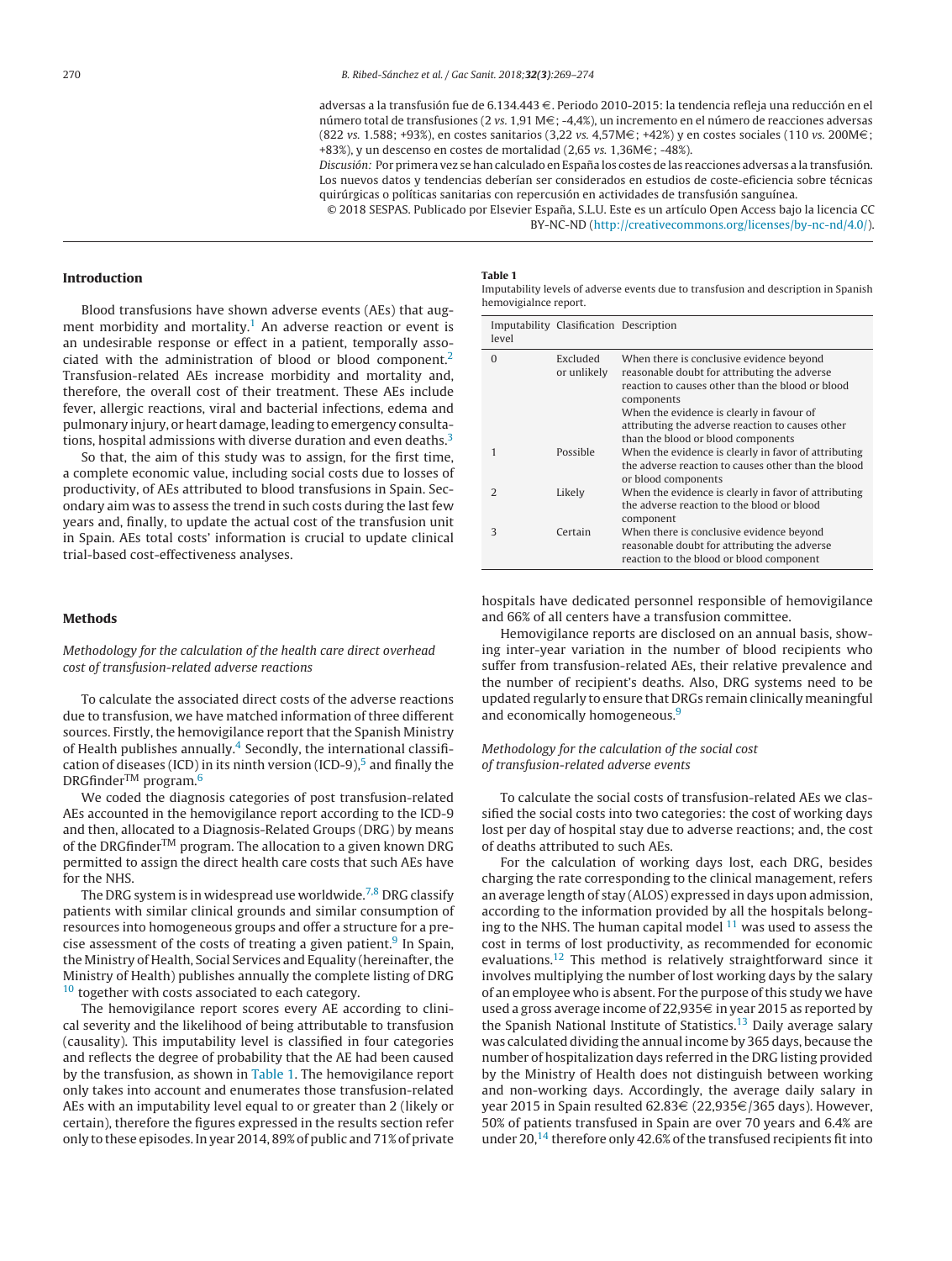adversas a la transfusión fue de 6.134.443 €. Periodo 2010-2015: la tendencia refleja una reducción en el número total de transfusiones (2 vs. 1,91 M $\in$ ; -4,4%), un incremento en el número de reacciones adversas (822 vs. 1.588; +93%), en costes sanitarios (3,22 vs. 4,57M $\in$ ; +42%) y en costes sociales (110 vs. 200M $\in$ ; +83%), y un descenso en costes de mortalidad (2,65 vs. 1,36M $\epsilon$ ; -48%).

Discusión: Por primera vez se han calculado en España los costes de las reacciones adversas a la transfusión. Los nuevos datos y tendencias deberían ser considerados en estudios de coste-eficiencia sobre técnicas quirúrgicas o políticas sanitarias con repercusión en actividades de transfusión sanguínea.

© 2018 SESPAS. Publicado por Elsevier España, S.L.U. Este es un artículo Open Access bajo la licencia CC BY-NC-ND [\(http://creativecommons.org/licenses/by-nc-nd/4.0/\)](http://creativecommons.org/licenses/by-nc-nd/4.0/).

## <span id="page-1-0"></span>**Introduction**

Blood transfusions have shown adverse events (AEs) that augment morbidity and mortality.<sup>1</sup> An adverse reaction or event is an undesirable response or effect in a patient, temporally associated with the administration of blood or blood component[.2](#page-5-0) Transfusion-related AEs increase morbidity and mortality and, therefore, the overall cost of their treatment. These AEs include fever, allergic reactions, viral and bacterial infections, edema and pulmonary injury, or heart damage, leading to emergency consultations, hospital admissions with diverse duration and even deaths. $3$ 

So that, the aim of this study was to assign, for the first time, a complete economic value, including social costs due to losses of productivity, of AEs attributed to blood transfusions in Spain. Secondary aim was to assess the trend in such costs during the last few years and, finally, to update the actual cost of the transfusion unit in Spain. AEs total costs' information is crucial to update clinical trial-based cost-effectiveness analyses.

## **Methods**

Methodology for the calculation of the health care direct overhead cost of transfusion-related adverse reactions

To calculate the associated direct costs of the adverse reactions due to transfusion, we have matched information of three different sources. Firstly, the hemovigilance report that the Spanish Ministry of Health publishes annually. $4$  Secondly, the international classification of diseases (ICD) in its ninth version (ICD-9), $5$  and finally the DRGfinder<sup>™</sup> program.<sup>6</sup>

We coded the diagnosis categories of post transfusion-related AEs accounted in the hemovigilance report according to the ICD-9 and then, allocated to a Diagnosis-Related Groups (DRG) by means of the DRGfinderTM program. The allocation to a given known DRG permitted to assign the direct health care costs that such AEs have for the NHS.

The DRG system is in widespread use worldwide.<sup>[7,8](#page-5-0)</sup> DRG classify patients with similar clinical grounds and similar consumption of resources into homogeneous groups and offer a structure for a precise assessment of the costs of treating a given patient. $9 \text{ In Spain}$  $9 \text{ In Spain}$ , the Ministry of Health, Social Services and Equality (hereinafter, the Ministry of Health) publishes annually the complete listing of DRG <sup>[10](#page-5-0)</sup> together with costs associated to each category.

The hemovigilance report scores every AE according to clinical severity and the likelihood of being attributable to transfusion (causality). This imputability level is classified in four categories and reflects the degree of probability that the AE had been caused by the transfusion, as shown in Table 1. The hemovigilance report only takes into account and enumerates those transfusion-related AEs with an imputability level equal to or greater than 2 (likely or certain), therefore the figures expressed in the results section refer only to these episodes.In year 2014, 89%of public and 71%of private

## **Table 1**

Imputability levels of adverse events due to transfusion and description in Spanish hemovigialnce report.

| level         | Imputability Clasification Description |                                                                                                                                                                                                                                                             |
|---------------|----------------------------------------|-------------------------------------------------------------------------------------------------------------------------------------------------------------------------------------------------------------------------------------------------------------|
| $\Omega$      | Excluded<br>or unlikely                | When there is conclusive evidence beyond<br>reasonable doubt for attributing the adverse<br>reaction to causes other than the blood or blood<br>components<br>When the evidence is clearly in favour of<br>attributing the adverse reaction to causes other |
|               |                                        | than the blood or blood components                                                                                                                                                                                                                          |
| 1             | Possible                               | When the evidence is clearly in favor of attributing<br>the adverse reaction to causes other than the blood<br>or blood components                                                                                                                          |
| $\mathcal{D}$ | Likely                                 | When the evidence is clearly in favor of attributing<br>the adverse reaction to the blood or blood<br>component                                                                                                                                             |
| 3             | Certain                                | When there is conclusive evidence beyond<br>reasonable doubt for attributing the adverse<br>reaction to the blood or blood component                                                                                                                        |

hospitals have dedicated personnel responsible of hemovigilance and 66% of all centers have a transfusion committee.

Hemovigilance reports are disclosed on an annual basis, showing inter-year variation in the number of blood recipients who suffer from transfusion-related AEs, their relative prevalence and the number of recipient's deaths. Also, DRG systems need to be updated regularly to ensure that DRGs remain clinically meaningful and economically homogeneous.<sup>9</sup>

## Methodology for the calculation of the social cost of transfusion-related adverse events

To calculate the social costs of transfusion-related AEs we classified the social costs into two categories: the cost of working days lost per day of hospital stay due to adverse reactions; and, the cost of deaths attributed to such AEs.

For the calculation of working days lost, each DRG, besides charging the rate corresponding to the clinical management, refers an average length of stay (ALOS) expressed in days upon admission, according to the information provided by all the hospitals belonging to the NHS. The human capital model  $11$  was used to assess the cost in terms of lost productivity, as recommended for economic evaluations[.12](#page-5-0) This method is relatively straightforward since it involves multiplying the number of lost working days by the salary of an employee who is absent. For the purpose of this study we have used a gross average income of 22,935 $\in$  in year 2015 as reported by the Spanish National Institute of Statistics.<sup>13</sup> Daily average salary was calculated dividing the annual income by 365 days, because the number of hospitalization days referred in the DRG listing provided by the Ministry of Health does not distinguish between working and non-working days. Accordingly, the average daily salary in year 2015 in Spain resulted 62.83€ (22,935€/365 days). However, 50% of patients transfused in Spain are over 70 years and 6.4% are under 20,<sup>14</sup> therefore only 42.6% of the transfused recipients fit into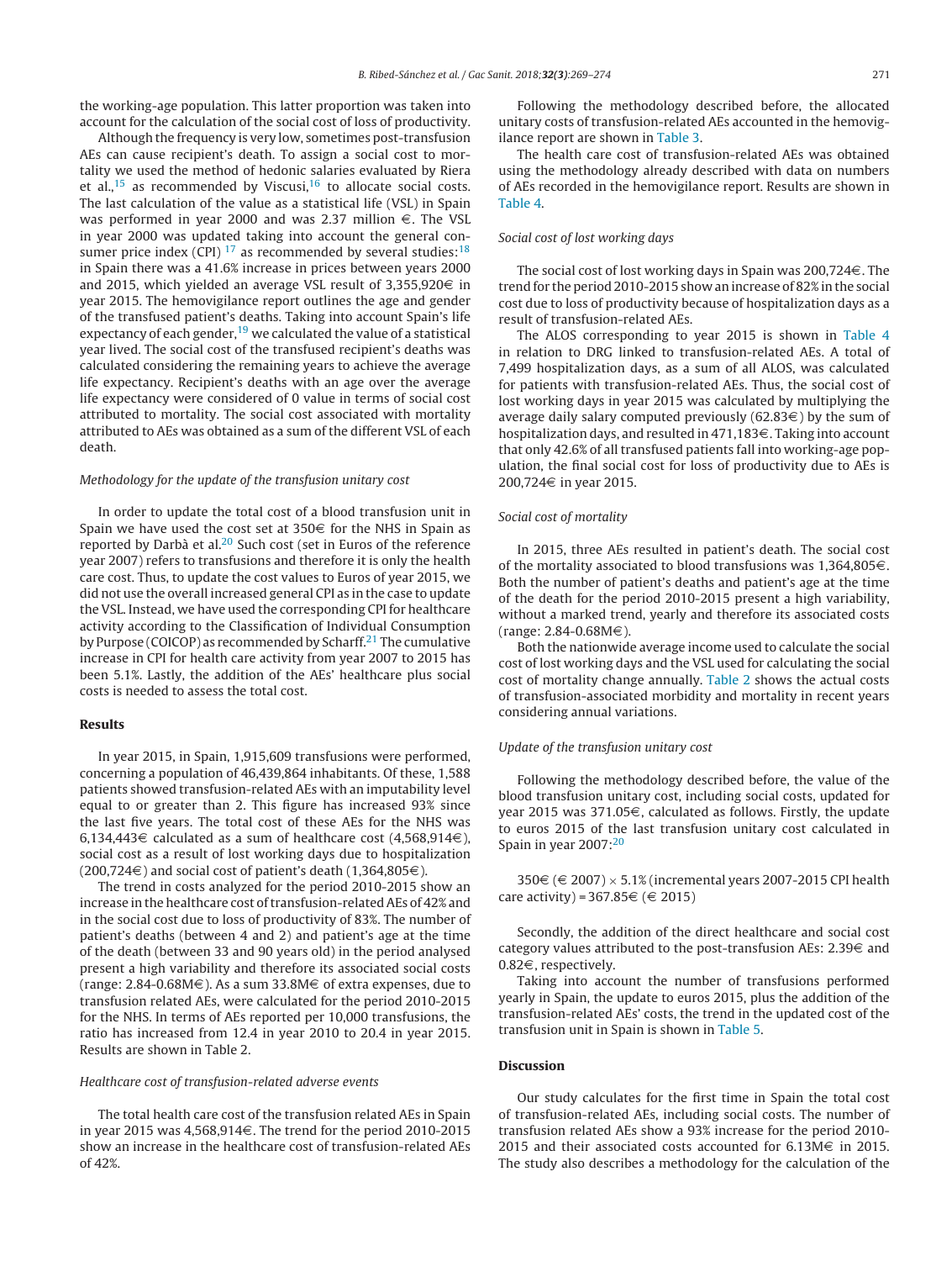the working-age population. This latter proportion was taken into account for the calculation of the social cost of loss of productivity.

Although the frequency is very low, sometimes post-transfusion AEs can cause recipient's death. To assign a social cost to mortality we used the method of hedonic salaries evaluated by Riera et al.,<sup>[15](#page-5-0)</sup> as recommended by Viscusi,<sup>16</sup> to allocate social costs. The last calculation of the value as a statistical life (VSL) in Spain was performed in year 2000 and was 2.37 million  $\epsilon$ . The VSL in year 2000 was updated taking into account the general consumer price index (CPI)  $^{17}$  $^{17}$  $^{17}$  as recommended by several studies:  $^{18}$  $^{18}$  $^{18}$ in Spain there was a 41.6% increase in prices between years 2000 and 2015, which yielded an average VSL result of 3,355,920 $\in$  in year 2015. The hemovigilance report outlines the age and gender of the transfused patient's deaths. Taking into account Spain's life expectancy of each gender,  $19$  we calculated the value of a statistical year lived. The social cost of the transfused recipient's deaths was calculated considering the remaining years to achieve the average life expectancy. Recipient's deaths with an age over the average life expectancy were considered of 0 value in terms of social cost attributed to mortality. The social cost associated with mortality attributed to AEs was obtained as a sum of the different VSL of each death.

## Methodology for the update of the transfusion unitary cost

In order to update the total cost of a blood transfusion unit in Spain we have used the cost set at  $350\epsilon$  for the NHS in Spain as reported by Darbà et al[.20](#page-5-0) Such cost (set in Euros of the reference year 2007) refers to transfusions and therefore it is only the health care cost. Thus, to update the cost values to Euros of year 2015, we did not use the overall increased general CPI as in the case to update the VSL. Instead, we have used the corresponding CPI for healthcare activity according to the Classification of Individual Consumption by Purpose (COICOP) as recommended by Scharff.<sup>21</sup> The cumulative increase in CPI for health care activity from year 2007 to 2015 has been 5.1%. Lastly, the addition of the AEs' healthcare plus social costs is needed to assess the total cost.

## **Results**

In year 2015, in Spain, 1,915,609 transfusions were performed, concerning a population of 46,439,864 inhabitants. Of these, 1,588 patients showed transfusion-related AEs with an imputability level equal to or greater than 2. This figure has increased 93% since the last five years. The total cost of these AEs for the NHS was 6,134,443 $\in$  calculated as a sum of healthcare cost (4,568,914 $\in$ ), social cost as a result of lost working days due to hospitalization  $(200,724\epsilon)$  and social cost of patient's death  $(1,364,805\epsilon)$ .

The trend in costs analyzed for the period 2010-2015 show an increase in the healthcare cost of transfusion-related AEs of 42% and in the social cost due to loss of productivity of 83%. The number of patient's deaths (between 4 and 2) and patient's age at the time of the death (between 33 and 90 years old) in the period analysed present a high variability and therefore its associated social costs (range: 2.84-0.68M $\in$ ). As a sum 33.8M $\in$  of extra expenses, due to transfusion related AEs, were calculated for the period 2010-2015 for the NHS. In terms of AEs reported per 10,000 transfusions, the ratio has increased from 12.4 in year 2010 to 20.4 in year 2015. Results are shown in Table 2.

## Healthcare cost of transfusion-related adverse events

The total health care cost of the transfusion related AEs in Spain in year 2015 was 4,568,914 $\in$ . The trend for the period 2010-2015 show an increase in the healthcare cost of transfusion-related AEs of 42%.

Following the methodology described before, the allocated unitary costs of transfusion-related AEs accounted in the hemovigilance report are shown in [Table](#page-3-0) 3.

The health care cost of transfusion-related AEs was obtained using the methodology already described with data on numbers of AEs recorded in the hemovigilance report. Results are shown in [Table](#page-3-0) 4.

## Social cost of lost working days

The social cost of lost working days in Spain was 200,724 $\in$ . The trend for the period 2010-2015 show an increase of 82% in the social cost due to loss of productivity because of hospitalization days as a result of transfusion-related AEs.

The ALOS corresponding to year 2015 is shown in [Table](#page-3-0) 4 in relation to DRG linked to transfusion-related AEs. A total of 7,499 hospitalization days, as a sum of all ALOS, was calculated for patients with transfusion-related AEs. Thus, the social cost of lost working days in year 2015 was calculated by multiplying the average daily salary computed previously (62.83 $\in$ ) by the sum of hospitalization days, and resulted in  $471,183\in$ . Taking into account that only 42.6% of all transfused patients fall into working-age population, the final social cost for loss of productivity due to AEs is 200,724 $\in$  in year 2015.

#### Social cost of mortality

In 2015, three AEs resulted in patient's death. The social cost of the mortality associated to blood transfusions was  $1,364,805 \in$ . Both the number of patient's deaths and patient's age at the time of the death for the period 2010-2015 present a high variability, without a marked trend, yearly and therefore its associated costs  $(range: 2.84-0.68M $\in$ ).$ 

Both the nationwide average income used to calculate the social cost of lost working days and the VSL used for calculating the social cost of mortality change annually. [Table](#page-3-0) 2 shows the actual costs of transfusion-associated morbidity and mortality in recent years considering annual variations.

## Update of the transfusion unitary cost

Following the methodology described before, the value of the blood transfusion unitary cost, including social costs, updated for year 2015 was 371.05 $\in$ , calculated as follows. Firstly, the update to euros 2015 of the last transfusion unitary cost calculated in Spain in year  $2007$  $2007$ : $20$ 

350€ (€ 2007) × 5.1% (incremental years 2007-2015 CPI health care activity) = 367.85 $\in$  ( $\in$  2015)

Secondly, the addition of the direct healthcare and social cost category values attributed to the post-transfusion AEs:  $2.39 \in$  and  $0.82 \in$ , respectively.

Taking into account the number of transfusions performed yearly in Spain, the update to euros 2015, plus the addition of the transfusion-related AEs' costs, the trend in the updated cost of the transfusion unit in Spain is shown in [Table](#page-3-0) 5.

## **Discussion**

Our study calculates for the first time in Spain the total cost of transfusion-related AEs, including social costs. The number of transfusion related AEs show a 93% increase for the period 2010- 2015 and their associated costs accounted for 6.13M $\in$  in 2015. The study also describes a methodology for the calculation of the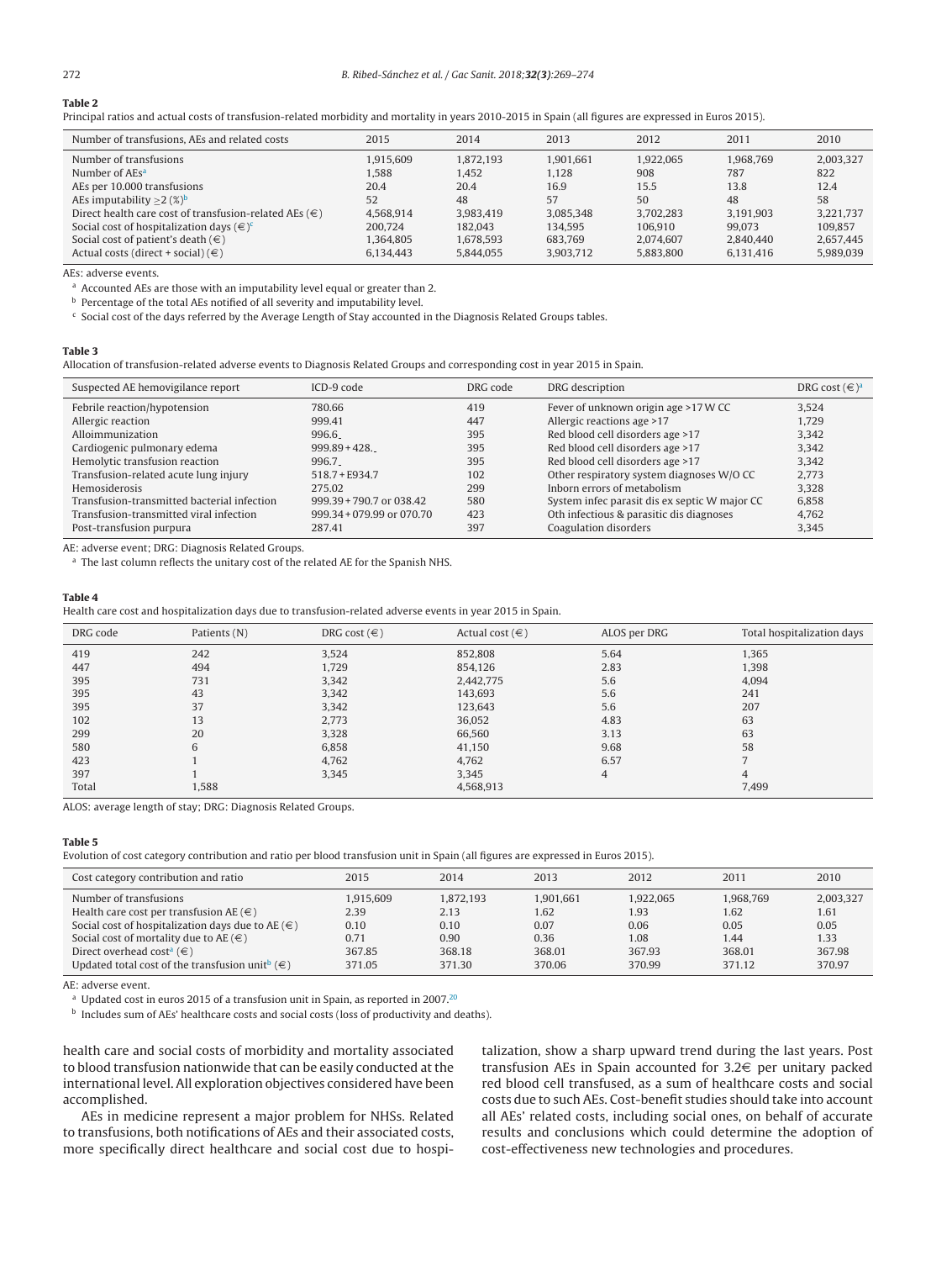#### <span id="page-3-0"></span>**Table 2**

Principal ratios and actual costs of transfusion-related morbidity and mortality in years 2010-2015 in Spain (all figures are expressed in Euros 2015).

| Number of transfusions, AEs and related costs                                                                                                                                                                                                                                                              | 2015                                                                  | 2014                                                                  | 2013                                                                | 2012                                                                | 2011                                                               | 2010                                                                |
|------------------------------------------------------------------------------------------------------------------------------------------------------------------------------------------------------------------------------------------------------------------------------------------------------------|-----------------------------------------------------------------------|-----------------------------------------------------------------------|---------------------------------------------------------------------|---------------------------------------------------------------------|--------------------------------------------------------------------|---------------------------------------------------------------------|
| Number of transfusions<br>Number of AEs <sup>a</sup><br>AEs per 10.000 transfusions<br>AEs imputability $\geq$ 2 (%) <sup>b</sup><br>Direct health care cost of transfusion-related AEs ( $\in$ )<br>Social cost of hospitalization days $(\infty)$ <sup>c</sup><br>Social cost of patient's death $(\in)$ | 1.915.609<br>1.588<br>20.4<br>52<br>4.568.914<br>200.724<br>1.364.805 | 1.872.193<br>1.452<br>20.4<br>48<br>3.983.419<br>182.043<br>1,678,593 | 1.901.661<br>1.128<br>16.9<br>57<br>3.085.348<br>134.595<br>683.769 | 1.922.065<br>908<br>15.5<br>50<br>3.702.283<br>106.910<br>2.074.607 | 1.968.769<br>787<br>13.8<br>48<br>3.191.903<br>99,073<br>2.840.440 | 2.003.327<br>822<br>12.4<br>58<br>3.221.737<br>109.857<br>2,657,445 |
| Actual costs (direct + social) $(\in)$                                                                                                                                                                                                                                                                     | 6.134.443                                                             | 5.844.055                                                             | 3.903.712                                                           | 5.883.800                                                           | 6.131.416                                                          | 5.989.039                                                           |

AEs: adverse events.

<sup>a</sup> Accounted AEs are those with an imputability level equal or greater than 2.

**b** Percentage of the total AEs notified of all severity and imputability level.

<sup>c</sup> Social cost of the days referred by the Average Length of Stay accounted in the Diagnosis Related Groups tables.

#### **Table 3**

Allocation of transfusion-related adverse events to Diagnosis Related Groups and corresponding cost in year 2015 in Spain.

| Suspected AE hemovigilance report           | $ICD-9 code$                | DRG code | DRG description                               | DRG cost $(\infty)^a$ |
|---------------------------------------------|-----------------------------|----------|-----------------------------------------------|-----------------------|
| Febrile reaction/hypotension                | 780.66                      | 419      | Fever of unknown origin age >17 W CC          | 3.524                 |
| Allergic reaction                           | 999.41                      | 447      | Allergic reactions age >17                    | 1.729                 |
| Alloimmunization                            | 996.6                       | 395      | Red blood cell disorders age >17              | 3.342                 |
| Cardiogenic pulmonary edema                 | $999.89 + 428$              | 395      | Red blood cell disorders age >17              | 3.342                 |
| Hemolytic transfusion reaction              | 996.7                       | 395      | Red blood cell disorders age >17              | 3.342                 |
| Transfusion-related acute lung injury       | $518.7 + F934.7$            | 102      | Other respiratory system diagnoses W/O CC     | 2.773                 |
| Hemosiderosis                               | 275.02                      | 299      | Inborn errors of metabolism                   | 3.328                 |
| Transfusion-transmitted bacterial infection | 999.39 + 790.7 or 038.42    | 580      | System infec parasit dis ex septic W major CC | 6.858                 |
| Transfusion-transmitted viral infection     | $999.34 + 079.99$ or 070.70 | 423      | Oth infectious & parasitic dis diagnoses      | 4.762                 |
| Post-transfusion purpura                    | 287.41                      | 397      | Coagulation disorders                         | 3.345                 |

AE: adverse event; DRG: Diagnosis Related Groups.

a The last column reflects the unitary cost of the related AE for the Spanish NHS.

## **Table 4**

Health care cost and hospitalization days due to transfusion-related adverse events in year 2015 in Spain.

| DRG code | Patients (N) | DRG cost $(\in)$ | Actual cost $(\in)$ | ALOS per DRG | Total hospitalization days |
|----------|--------------|------------------|---------------------|--------------|----------------------------|
| 419      | 242          | 3,524            | 852,808             | 5.64         | 1,365                      |
| 447      | 494          | 1,729            | 854,126             | 2.83         | 1,398                      |
| 395      | 731          | 3,342            | 2,442,775           | 5.6          | 4.094                      |
| 395      | 43           | 3,342            | 143,693             | 5.6          | 241                        |
| 395      | 37           | 3.342            | 123,643             | 5.6          | 207                        |
| 102      | 13           | 2,773            | 36,052              | 4.83         | 63                         |
| 299      | 20           | 3,328            | 66,560              | 3.13         | 63                         |
| 580      | 6            | 6,858            | 41,150              | 9.68         | 58                         |
| 423      |              | 4,762            | 4,762               | 6.57         | ⇁                          |
| 397      |              | 3,345            | 3,345               | 4            | 4                          |
| Total    | 1,588        |                  | 4,568,913           |              | 7,499                      |

ALOS: average length of stay; DRG: Diagnosis Related Groups.

## **Table 5**

Evolution of cost category contribution and ratio per blood transfusion unit in Spain (all figures are expressed in Euros 2015).

| Cost category contribution and ratio                              | 2015      | 2014      | 2013      | 2012      | 2011      | 2010      |
|-------------------------------------------------------------------|-----------|-----------|-----------|-----------|-----------|-----------|
| Number of transfusions                                            | 1.915.609 | 1.872.193 | 1.901.661 | 1.922.065 | 1.968.769 | 2,003,327 |
| Health care cost per transfusion AE $(\in)$                       | 2.39      | 2.13      | 1.62      | 1.93      | 1.62      | 1.61      |
| Social cost of hospitalization days due to AE $(\in)$             | 0.10      | 0.10      | 0.07      | 0.06      | 0.05      | 0.05      |
| Social cost of mortality due to AE $(\in)$                        | 0.71      | 0.90      | 0.36      | 1.08      | 1.44      | 1.33      |
| Direct overhead cost <sup>a</sup> ( $\in$ )                       | 367.85    | 368.18    | 368.01    | 367.93    | 368.01    | 367.98    |
| Updated total cost of the transfusion unit <sup>b</sup> ( $\in$ ) | 371.05    | 371.30    | 370.06    | 370.99    | 371.12    | 370.97    |

AE: adverse event.

<sup>a</sup> Updated cost in euros 2015 of a transfusion unit in Spain, as reported in 2007.<sup>20</sup>

**b** Includes sum of AEs' healthcare costs and social costs (loss of productivity and deaths).

health care and social costs of morbidity and mortality associated to blood transfusion nationwide that can be easily conducted at the international level. All exploration objectives considered have been accomplished.

AEs in medicine represent a major problem for NHSs. Related to transfusions, both notifications of AEs and their associated costs, more specifically direct healthcare and social cost due to hospitalization, show a sharp upward trend during the last years. Post transfusion AEs in Spain accounted for  $3.2\epsilon$  per unitary packed red blood cell transfused, as a sum of healthcare costs and social costs due to such AEs. Cost-benefit studies should take into account all AEs' related costs, including social ones, on behalf of accurate results and conclusions which could determine the adoption of cost-effectiveness new technologies and procedures.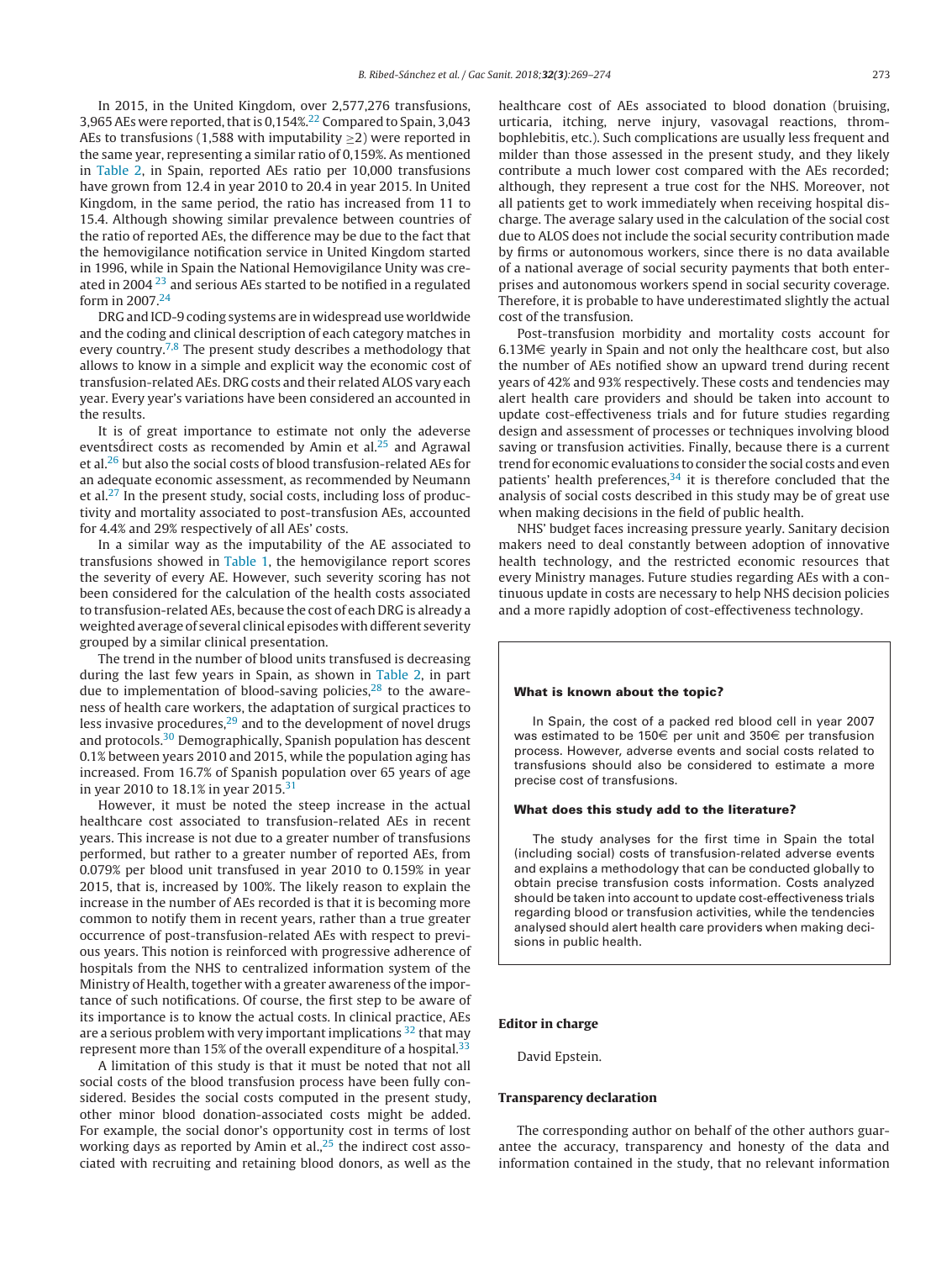In 2015, in the United Kingdom, over 2,577,276 transfusions, 3,965 AEs were reported, that is  $0.154\frac{22}{12}$  $0.154\frac{22}{12}$  $0.154\frac{22}{12}$  Compared to Spain, 3,043 AEs to transfusions (1,588 with imputability  $>$ 2) were reported in the same year, representing a similar ratio of 0,159%. As mentioned in [Table](#page-3-0) 2, in Spain, reported AEs ratio per 10,000 transfusions have grown from 12.4 in year 2010 to 20.4 in year 2015. In United Kingdom, in the same period, the ratio has increased from 11 to 15.4. Although showing similar prevalence between countries of the ratio of reported AEs, the difference may be due to the fact that the hemovigilance notification service in United Kingdom started in 1996, while in Spain the National Hemovigilance Unity was created in 2004 [23](#page-5-0) and serious AEs started to be notified in a regulated form in 2007[.24](#page-5-0)

DRG and ICD-9 coding systems are in widespread use worldwide and the coding and clinical description of each category matches in every country.<sup>[7,8](#page-5-0)</sup> The present study describes a methodology that allows to know in a simple and explicit way the economic cost of transfusion-related AEs. DRG costs and their related ALOS vary each year. Every year's variations have been considered an accounted in the results.

It is of great importance to estimate not only the adeverse eventsdirect costs as recomended by Amin et al. $25$  and Agrawal et al.[26](#page-5-0) but also the social costs of blood transfusion-related AEs for an adequate economic assessment, as recommended by Neumann et al[.27](#page-5-0) In the present study, social costs, including loss of productivity and mortality associated to post-transfusion AEs, accounted for 4.4% and 29% respectively of all AEs' costs.

In a similar way as the imputability of the AE associated to transfusions showed in [Table](#page-1-0) 1, the hemovigilance report scores the severity of every AE. However, such severity scoring has not been considered for the calculation of the health costs associated to transfusion-related AEs, because the cost of each DRG is already a weighted average of several clinical episodes with different severity grouped by a similar clinical presentation.

The trend in the number of blood units transfused is decreasing during the last few years in Spain, as shown in [Table](#page-3-0) 2, in part due to implementation of blood-saving policies, $^{28}$  to the awareness of health care workers, the adaptation of surgical practices to less invasive procedures, $29$  and to the development of novel drugs and protocols.<sup>30</sup> Demographically, Spanish population has descent 0.1% between years 2010 and 2015, while the population aging has increased. From 16.7% of Spanish population over 65 years of age in year 2010 to 18.1% in year 2015.<sup>31</sup>

However, it must be noted the steep increase in the actual healthcare cost associated to transfusion-related AEs in recent years. This increase is not due to a greater number of transfusions performed, but rather to a greater number of reported AEs, from 0.079% per blood unit transfused in year 2010 to 0.159% in year 2015, that is, increased by 100%. The likely reason to explain the increase in the number of AEs recorded is that it is becoming more common to notify them in recent years, rather than a true greater occurrence of post-transfusion-related AEs with respect to previous years. This notion is reinforced with progressive adherence of hospitals from the NHS to centralized information system of the Ministry of Health, together with a greater awareness of the importance of such notifications. Of course, the first step to be aware of its importance is to know the actual costs. In clinical practice, AEs are a serious problem with very important implications  $32$  that may represent more than 15% of the overall expenditure of a hospital.<sup>[33](#page-5-0)</sup>

A limitation of this study is that it must be noted that not all social costs of the blood transfusion process have been fully considered. Besides the social costs computed in the present study, other minor blood donation-associated costs might be added. For example, the social donor's opportunity cost in terms of lost working days as reported by Amin et al., $25$  the indirect cost associated with recruiting and retaining blood donors, as well as the healthcare cost of AEs associated to blood donation (bruising, urticaria, itching, nerve injury, vasovagal reactions, thrombophlebitis, etc.). Such complications are usually less frequent and milder than those assessed in the present study, and they likely contribute a much lower cost compared with the AEs recorded; although, they represent a true cost for the NHS. Moreover, not all patients get to work immediately when receiving hospital discharge. The average salary used in the calculation of the social cost due to ALOS does not include the social security contribution made by firms or autonomous workers, since there is no data available of a national average of social security payments that both enterprises and autonomous workers spend in social security coverage. Therefore, it is probable to have underestimated slightly the actual cost of the transfusion.

Post-transfusion morbidity and mortality costs account for  $6.13M\epsilon$  yearly in Spain and not only the healthcare cost, but also the number of AEs notified show an upward trend during recent years of 42% and 93% respectively. These costs and tendencies may alert health care providers and should be taken into account to update cost-effectiveness trials and for future studies regarding design and assessment of processes or techniques involving blood saving or transfusion activities. Finally, because there is a current trend for economic evaluations to consider the social costs and even patients' health preferences,<sup>34</sup> it is therefore concluded that the analysis of social costs described in this study may be of great use when making decisions in the field of public health.

NHS' budget faces increasing pressure yearly. Sanitary decision makers need to deal constantly between adoption of innovative health technology, and the restricted economic resources that every Ministry manages. Future studies regarding AEs with a continuous update in costs are necessary to help NHS decision policies and a more rapidly adoption of cost-effectiveness technology.

#### **What is known about the topic?**

In Spain, the cost of a packed red blood cell in year 2007 was estimated to be 150 $\in$  per unit and 350 $\in$  per transfusion process. However, adverse events and social costs related to transfusions should also be considered to estimate a more precise cost of transfusions.

#### **What does this study add to the literature?**

The study analyses for the first time in Spain the total (including social) costs of transfusion-related adverse events and explains a methodology that can be conducted globally to obtain precise transfusion costs information. Costs analyzed should be taken into account to update cost-effectiveness trials regarding blood or transfusion activities, while the tendencies analysed should alert health care providers when making decisions in public health.

#### **Editor in charge**

David Epstein.

## **Transparency declaration**

The corresponding author on behalf of the other authors guarantee the accuracy, transparency and honesty of the data and information contained in the study, that no relevant information